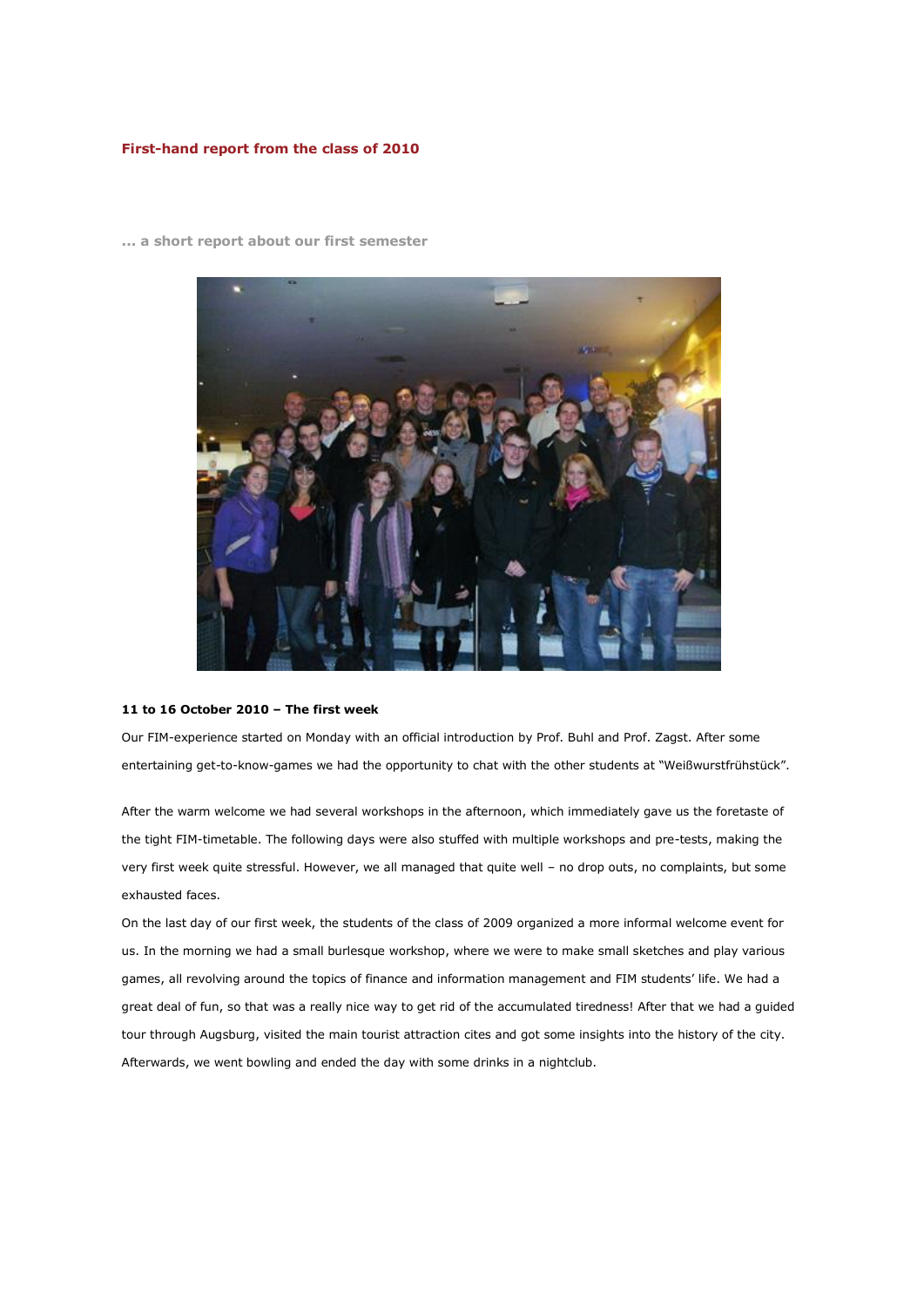# **First-hand report from the class of 2010**



**... a short report about our first semester**

#### **11 to 16 October 2010 – The first week**

Our FIM-experience started on Monday with an official introduction by Prof. Buhl and Prof. Zagst. After some entertaining get-to-know-games we had the opportunity to chat with the other students at "Weißwurstfrühstück".

After the warm welcome we had several workshops in the afternoon, which immediately gave us the foretaste of the tight FIM-timetable. The following days were also stuffed with multiple workshops and pre-tests, making the very first week quite stressful. However, we all managed that quite well – no drop outs, no complaints, but some exhausted faces.

On the last day of our first week, the students of the class of 2009 organized a more informal welcome event for us. In the morning we had a small burlesque workshop, where we were to make small sketches and play various games, all revolving around the topics of finance and information management and FIM students' life. We had a great deal of fun, so that was a really nice way to get rid of the accumulated tiredness! After that we had a guided tour through Augsburg, visited the main tourist attraction cites and got some insights into the history of the city. Afterwards, we went bowling and ended the day with some drinks in a nightclub.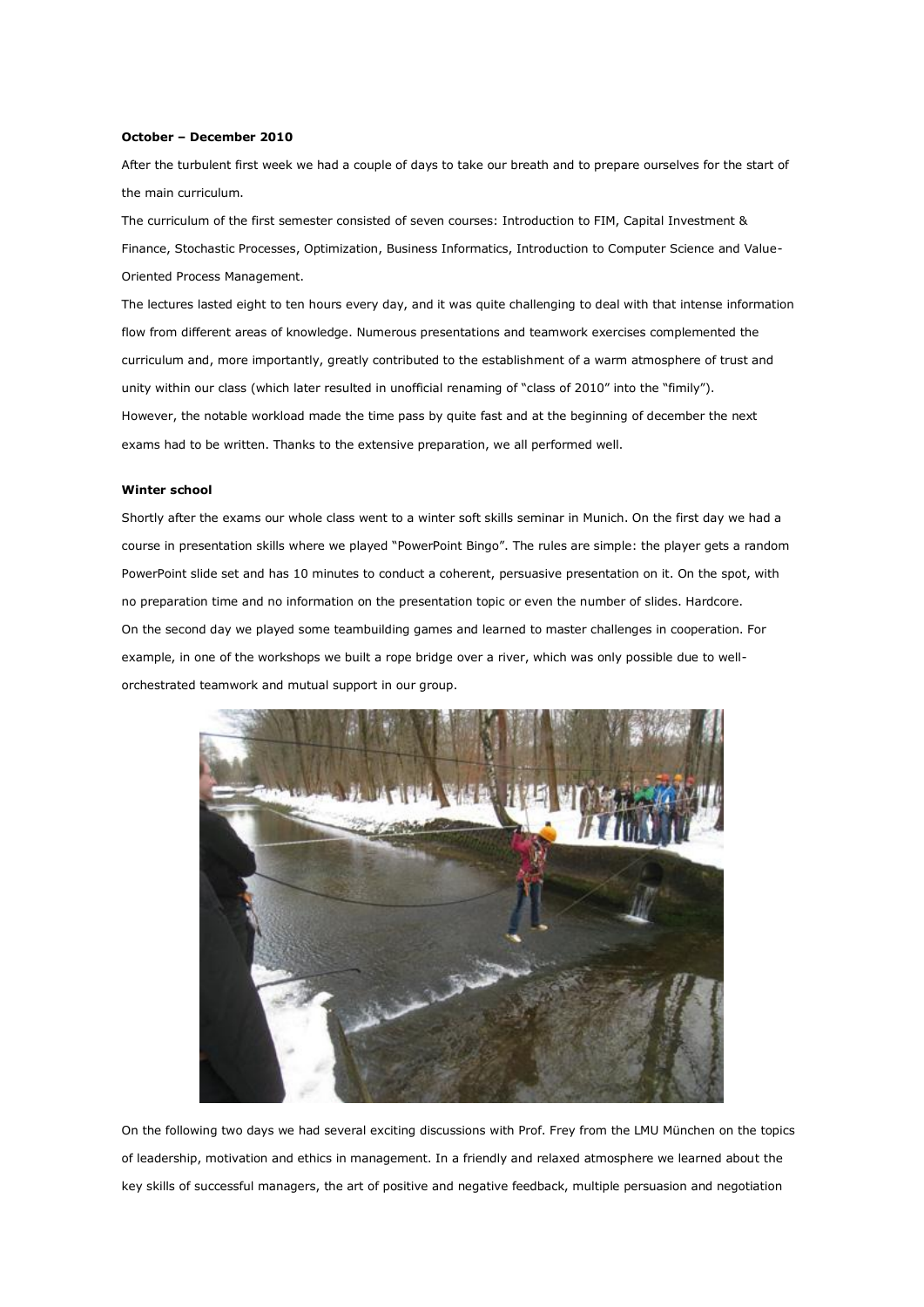### **October – December 2010**

After the turbulent first week we had a couple of days to take our breath and to prepare ourselves for the start of the main curriculum.

The curriculum of the first semester consisted of seven courses: Introduction to FIM, Capital Investment & Finance, Stochastic Processes, Optimization, Business Informatics, Introduction to Computer Science and Value-Oriented Process Management.

The lectures lasted eight to ten hours every day, and it was quite challenging to deal with that intense information flow from different areas of knowledge. Numerous presentations and teamwork exercises complemented the curriculum and, more importantly, greatly contributed to the establishment of a warm atmosphere of trust and unity within our class (which later resulted in unofficial renaming of "class of 2010" into the "fimily"). However, the notable workload made the time pass by quite fast and at the beginning of december the next exams had to be written. Thanks to the extensive preparation, we all performed well.

#### **Winter school**

Shortly after the exams our whole class went to a winter soft skills seminar in Munich. On the first day we had a course in presentation skills where we played "PowerPoint Bingo". The rules are simple: the player gets a random PowerPoint slide set and has 10 minutes to conduct a coherent, persuasive presentation on it. On the spot, with no preparation time and no information on the presentation topic or even the number of slides. Hardcore. On the second day we played some teambuilding games and learned to master challenges in cooperation. For example, in one of the workshops we built a rope bridge over a river, which was only possible due to wellorchestrated teamwork and mutual support in our group.



On the following two days we had several exciting discussions with Prof. Frey from the LMU München on the topics of leadership, motivation and ethics in management. In a friendly and relaxed atmosphere we learned about the key skills of successful managers, the art of positive and negative feedback, multiple persuasion and negotiation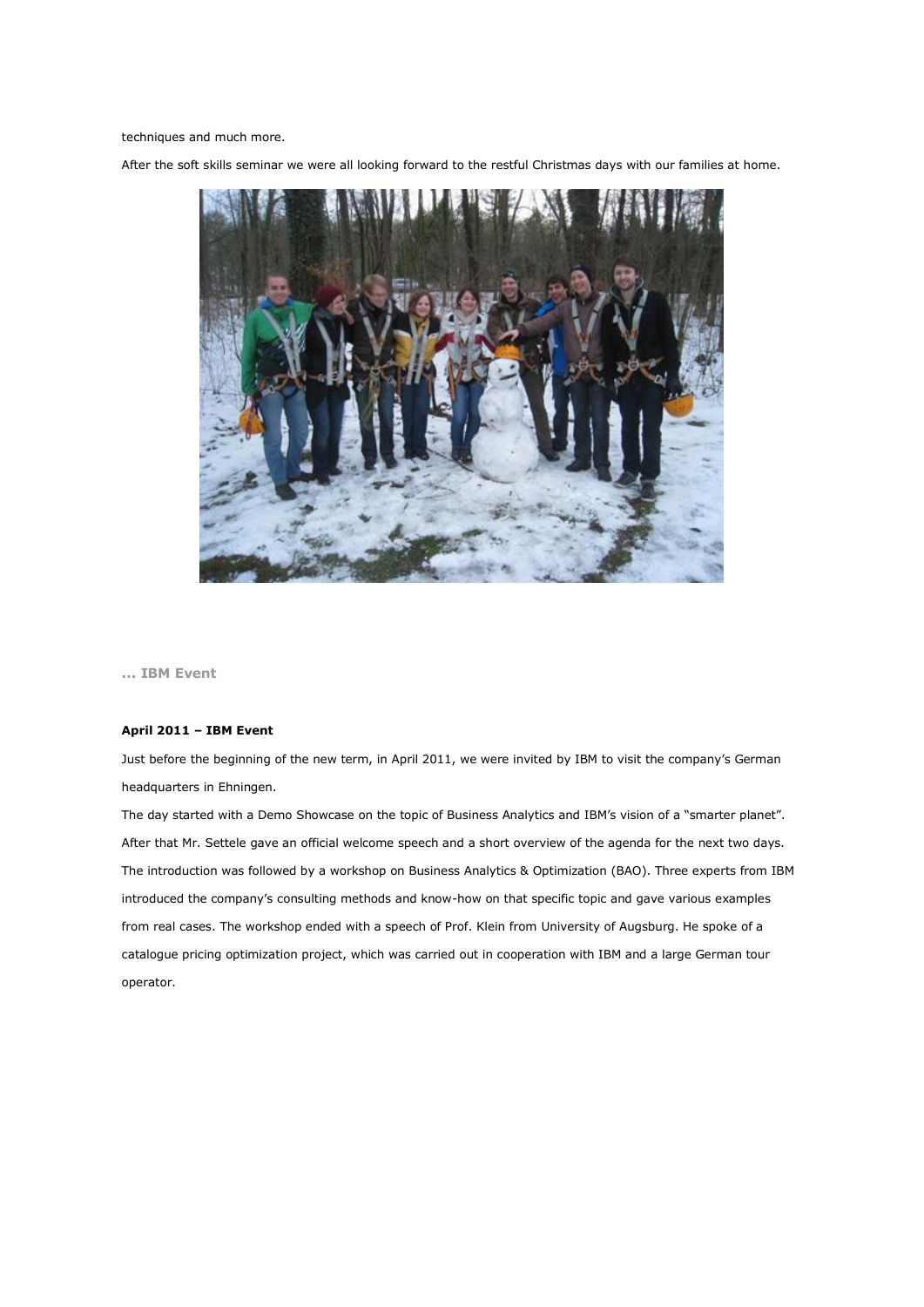techniques and much more.

After the soft skills seminar we were all looking forward to the restful Christmas days with our families at home.



**... IBM Event**

## **April 2011 – IBM Event**

Just before the beginning of the new term, in April 2011, we were invited by IBM to visit the company's German headquarters in Ehningen.

The day started with a Demo Showcase on the topic of Business Analytics and IBM's vision of a "smarter planet". After that Mr. Settele gave an official welcome speech and a short overview of the agenda for the next two days. The introduction was followed by a workshop on Business Analytics & Optimization (BAO). Three experts from IBM introduced the company's consulting methods and know-how on that specific topic and gave various examples from real cases. The workshop ended with a speech of Prof. Klein from University of Augsburg. He spoke of a catalogue pricing optimization project, which was carried out in cooperation with IBM and a large German tour operator.